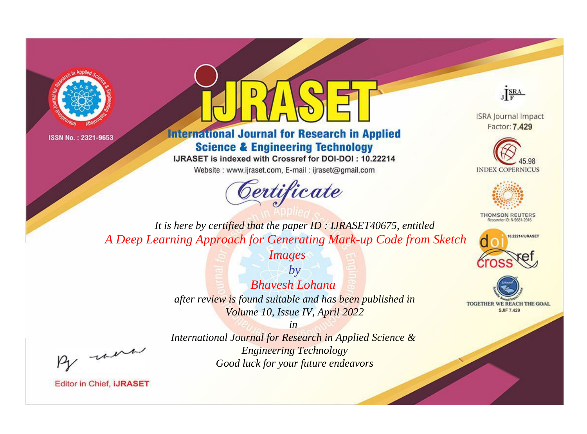



## **International Journal for Research in Applied Science & Engineering Technology**

IJRASET is indexed with Crossref for DOI-DOI: 10.22214

Website: www.ijraset.com, E-mail: ijraset@gmail.com





**ISRA Journal Impact** Factor: 7.429





**THOMSON REUTERS** 



TOGETHER WE REACH THE GOAL **SJIF 7.429** 

*It is here by certified that the paper ID : IJRASET40675, entitled A Deep Learning Approach for Generating Mark-up Code from Sketch* 

*Images*

*by Bhavesh Lohana after review is found suitable and has been published in Volume 10, Issue IV, April 2022*

*in* 

*International Journal for Research in Applied Science & Engineering Technology Good luck for your future endeavors*

, were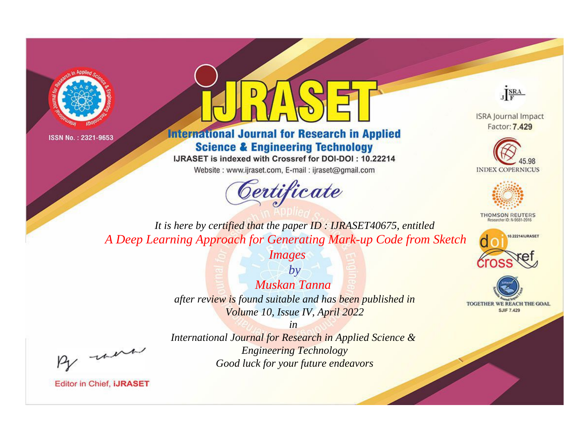



**International Journal for Research in Applied Science & Engineering Technology** 

IJRASET is indexed with Crossref for DOI-DOI: 10.22214

Website: www.ijraset.com, E-mail: ijraset@gmail.com



JERA

**ISRA Journal Impact** Factor: 7.429





**THOMSON REUTERS** 



TOGETHER WE REACH THE GOAL **SJIF 7.429** 

It is here by certified that the paper ID: IJRASET40675, entitled A Deep Learning Approach for Generating Mark-up Code from Sketch

*Images* 

 $b\nu$ Muskan Tanna after review is found suitable and has been published in Volume 10, Issue IV, April 2022

 $in$ International Journal for Research in Applied Science & **Engineering Technology** Good luck for your future endeavors

-were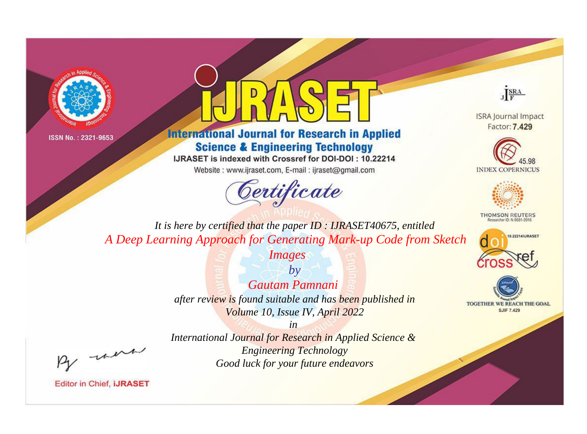



## **International Journal for Research in Applied Science & Engineering Technology**

IJRASET is indexed with Crossref for DOI-DOI: 10.22214

Website: www.ijraset.com, E-mail: ijraset@gmail.com



JERA

**ISRA Journal Impact** Factor: 7.429





**THOMSON REUTERS** 



TOGETHER WE REACH THE GOAL **SJIF 7.429** 

It is here by certified that the paper ID: IJRASET40675, entitled A Deep Learning Approach for Generating Mark-up Code from Sketch

*Images* 

 $b\nu$ Gautam Pamnani after review is found suitable and has been published in Volume 10, Issue IV, April 2022

 $in$ 

were

International Journal for Research in Applied Science & **Engineering Technology** Good luck for your future endeavors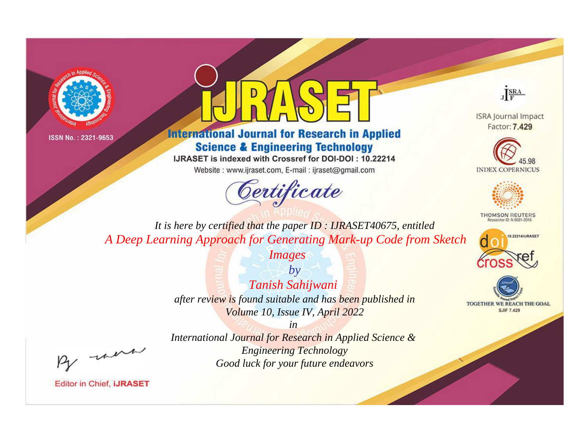



## **International Journal for Research in Applied Science & Engineering Technology**

IJRASET is indexed with Crossref for DOI-DOI: 10.22214

Website: www.ijraset.com, E-mail: ijraset@gmail.com





**ISRA Journal Impact** Factor: 7.429





**THOMSON REUTERS** 



TOGETHER WE REACH THE GOAL **SJIF 7.429** 

*It is here by certified that the paper ID : IJRASET40675, entitled A Deep Learning Approach for Generating Mark-up Code from Sketch* 

*Images*

*by Tanish Sahijwani after review is found suitable and has been published in Volume 10, Issue IV, April 2022*

*in* 

, un

*International Journal for Research in Applied Science & Engineering Technology Good luck for your future endeavors*